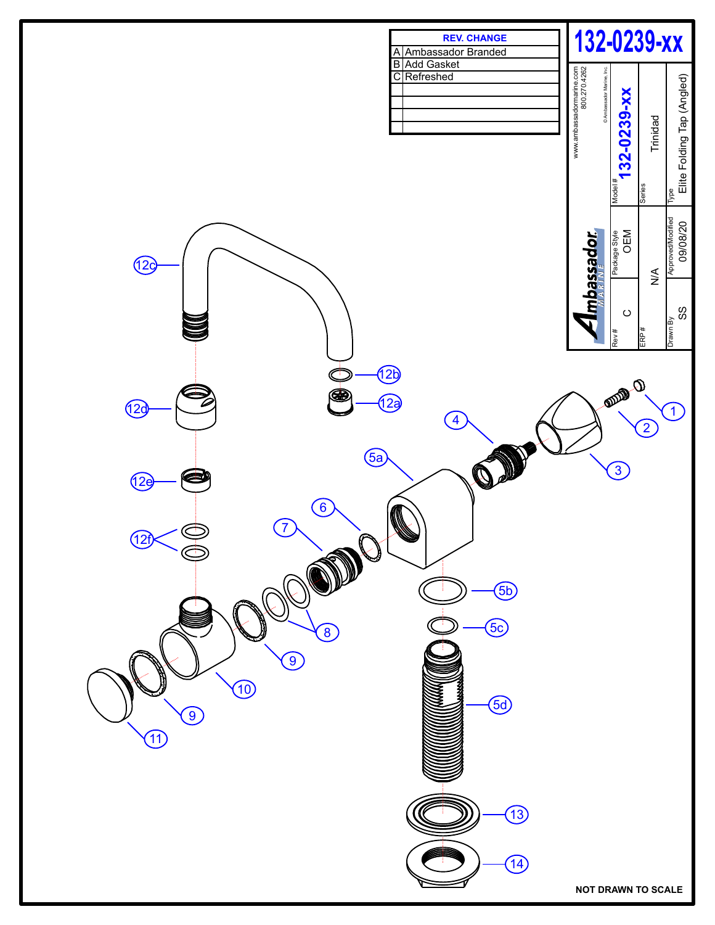